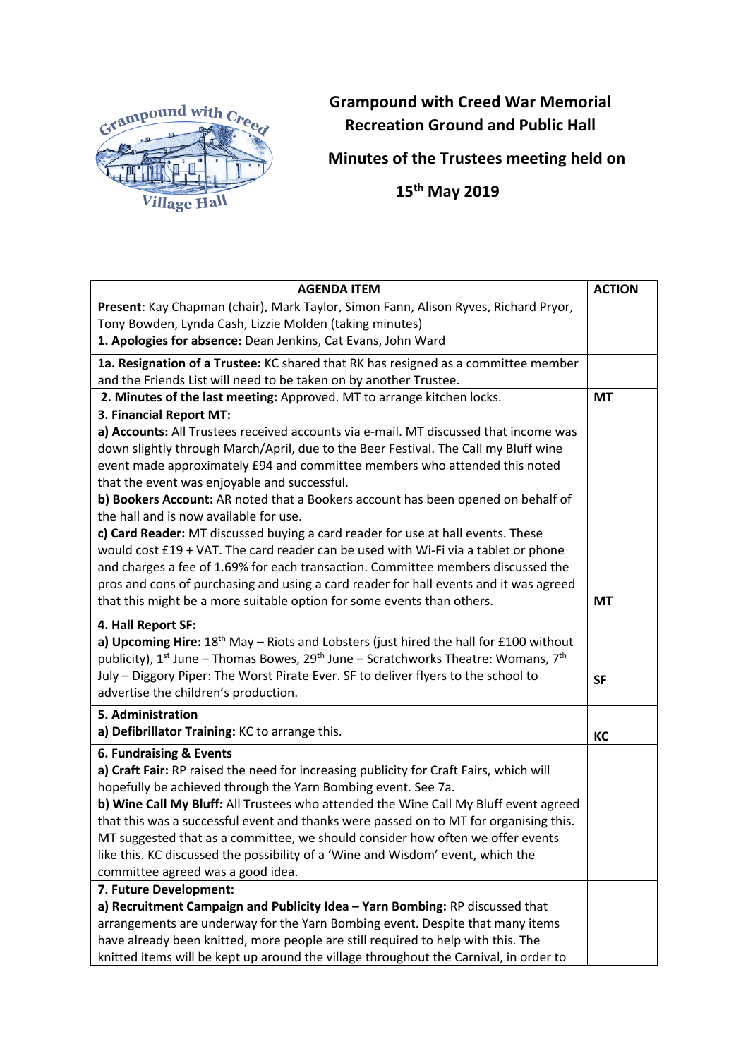

## **Grampound with Creed War Memorial Recreation Ground and Public Hall**

**Minutes of the Trustees meeting held on**

 **15th May 2019**

| <b>AGENDA ITEM</b>                                                                                                                                            | <b>ACTION</b> |
|---------------------------------------------------------------------------------------------------------------------------------------------------------------|---------------|
| Present: Kay Chapman (chair), Mark Taylor, Simon Fann, Alison Ryves, Richard Pryor,                                                                           |               |
| Tony Bowden, Lynda Cash, Lizzie Molden (taking minutes)                                                                                                       |               |
| 1. Apologies for absence: Dean Jenkins, Cat Evans, John Ward                                                                                                  |               |
| 1a. Resignation of a Trustee: KC shared that RK has resigned as a committee member                                                                            |               |
| and the Friends List will need to be taken on by another Trustee.                                                                                             |               |
| 2. Minutes of the last meeting: Approved. MT to arrange kitchen locks.                                                                                        | <b>MT</b>     |
| 3. Financial Report MT:                                                                                                                                       |               |
| a) Accounts: All Trustees received accounts via e-mail. MT discussed that income was                                                                          |               |
| down slightly through March/April, due to the Beer Festival. The Call my Bluff wine                                                                           |               |
| event made approximately £94 and committee members who attended this noted                                                                                    |               |
| that the event was enjoyable and successful.<br>b) Bookers Account: AR noted that a Bookers account has been opened on behalf of                              |               |
| the hall and is now available for use.                                                                                                                        |               |
| c) Card Reader: MT discussed buying a card reader for use at hall events. These                                                                               |               |
| would cost £19 + VAT. The card reader can be used with Wi-Fi via a tablet or phone                                                                            |               |
| and charges a fee of 1.69% for each transaction. Committee members discussed the                                                                              |               |
| pros and cons of purchasing and using a card reader for hall events and it was agreed                                                                         |               |
| that this might be a more suitable option for some events than others.                                                                                        | <b>MT</b>     |
| 4. Hall Report SF:                                                                                                                                            |               |
| a) Upcoming Hire: $18th$ May – Riots and Lobsters (just hired the hall for £100 without                                                                       |               |
| publicity), 1 <sup>st</sup> June – Thomas Bowes, 29 <sup>th</sup> June – Scratchworks Theatre: Womans, 7 <sup>th</sup>                                        |               |
| July - Diggory Piper: The Worst Pirate Ever. SF to deliver flyers to the school to                                                                            | <b>SF</b>     |
| advertise the children's production.                                                                                                                          |               |
| 5. Administration                                                                                                                                             |               |
| a) Defibrillator Training: KC to arrange this.                                                                                                                | KC            |
| 6. Fundraising & Events                                                                                                                                       |               |
| a) Craft Fair: RP raised the need for increasing publicity for Craft Fairs, which will                                                                        |               |
| hopefully be achieved through the Yarn Bombing event. See 7a.                                                                                                 |               |
| b) Wine Call My Bluff: All Trustees who attended the Wine Call My Bluff event agreed                                                                          |               |
| that this was a successful event and thanks were passed on to MT for organising this.                                                                         |               |
| MT suggested that as a committee, we should consider how often we offer events                                                                                |               |
| like this. KC discussed the possibility of a 'Wine and Wisdom' event, which the                                                                               |               |
| committee agreed was a good idea.                                                                                                                             |               |
| 7. Future Development:                                                                                                                                        |               |
| a) Recruitment Campaign and Publicity Idea - Yarn Bombing: RP discussed that<br>arrangements are underway for the Yarn Bombing event. Despite that many items |               |
| have already been knitted, more people are still required to help with this. The                                                                              |               |
| knitted items will be kept up around the village throughout the Carnival, in order to                                                                         |               |